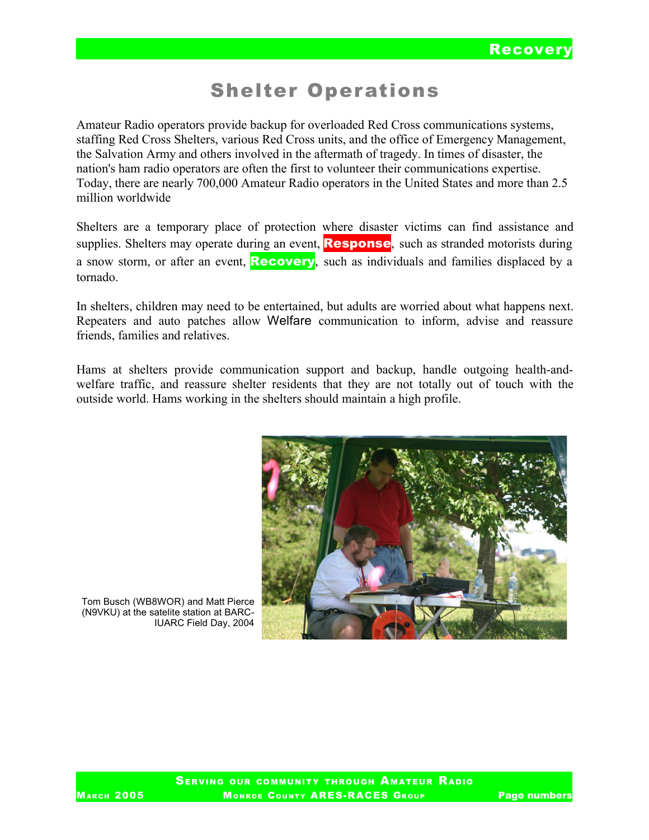# Shelter Operations

Amateur Radio operators provide backup for overloaded Red Cross communications systems, staffing Red Cross Shelters, various Red Cross units, and the office of Emergency Management, the Salvation Army and others involved in the aftermath of tragedy. In times of disaster, the nation's ham radio operators are often the first to volunteer their communications expertise. Today, there are nearly 700,000 Amateur Radio operators in the United States and more than 2.5 million worldwide

Shelters are a temporary place of protection where disaster victims can find assistance and supplies. Shelters may operate during an event, **Response**, such as stranded motorists during a snow storm, or after an event, **Recovery**, such as individuals and families displaced by a tornado.

In shelters, children may need to be entertained, but adults are worried about what happens next. Repeaters and auto patches allow Welfare communication to inform, advise and reassure friends, families and relatives.

Hams at shelters provide communication support and backup, handle outgoing health-andwelfare traffic, and reassure shelter residents that they are not totally out of touch with the outside world. Hams working in the shelters should maintain a high profile.



Tom Busch (WB8WOR) and Matt Pierce (N9VKU) at the satelite station at BARC-IUARC Field Day, 2004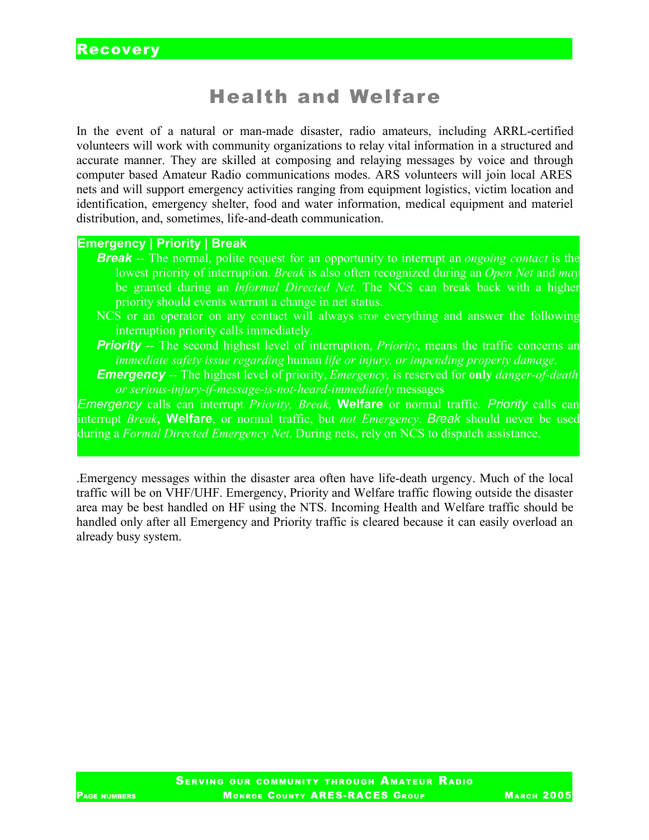# Health and Welfare

In the event of a natural or man-made disaster, radio amateurs, including ARRL-certified volunteers will work with community organizations to relay vital information in a structured and accurate manner. They are skilled at composing and relaying messages by voice and through computer based Amateur Radio communications modes. ARS volunteers will join local ARES nets and will support emergency activities ranging from equipment logistics, victim location and identification, emergency shelter, food and water information, medical equipment and materiel distribution, and, sometimes, life-and-death communication.

### **Emergency | Priority | Break**

- *Break* -- The normal, polite request for an opportunity to interrupt an *ongoing contact* is the lowest priority of interruption. *Break* is also often recognized during an *Open Net* and *may* be granted during an *Informal Directed Net.* The NCS can break back with a higher priority should events warrant a change in net status.
- NCS or an operator on any contact will always stop everything and answer the following interruption priority calls immediately.
- **Priority** -- The second highest level of interruption, *Priority*, means the traffic concerns an *immediate safety issue regarding* human *life or injury, or impending property damage*.
- *Emergency* -- The highest level of priority, *Emergency,* is reserved for **only** *danger-of-death or serious-injury-if-message-is-not-heard-immediately* messages

*Emergency* calls can interrupt *Priority, Break,* **Welfare** or normal traffic*. Priority* calls can interrupt *Break***, Welfare**, or normal traffic, but *not Emergency*. *Break* should never be used during a *Formal Directed Emergency Net*. During nets, rely on NCS to dispatch assistance.

.Emergency messages within the disaster area often have life-death urgency. Much of the local traffic will be on VHF/UHF. Emergency, Priority and Welfare traffic flowing outside the disaster area may be best handled on HF using the NTS. Incoming Health and Welfare traffic should be handled only after all Emergency and Priority traffic is cleared because it can easily overload an already busy system.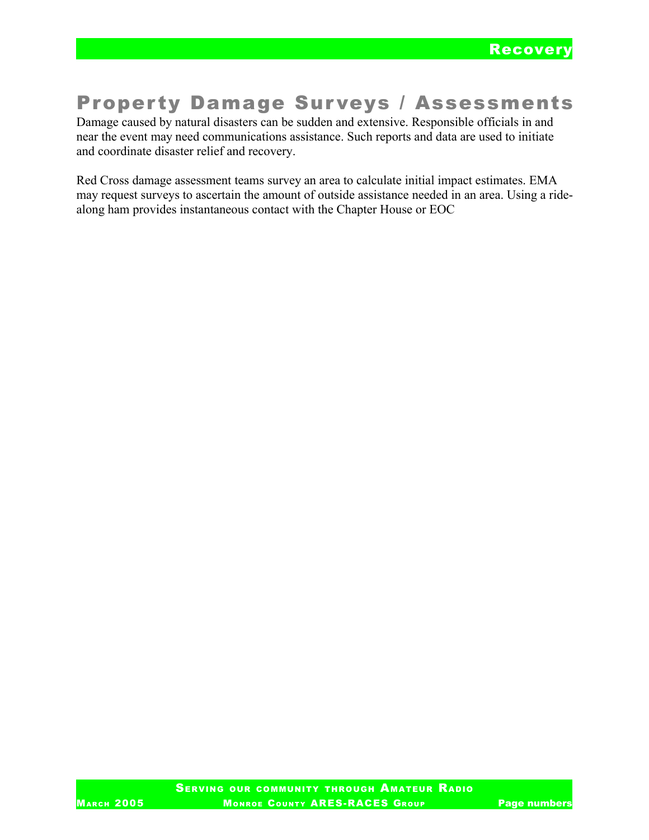# **Property Damage Surveys / Assessments**

Damage caused by natural disasters can be sudden and extensive. Responsible officials in and near the event may need communications assistance. Such reports and data are used to initiate and coordinate disaster relief and recovery.

Red Cross damage assessment teams survey an area to calculate initial impact estimates. EMA may request surveys to ascertain the amount of outside assistance needed in an area. Using a ridealong ham provides instantaneous contact with the Chapter House or EOC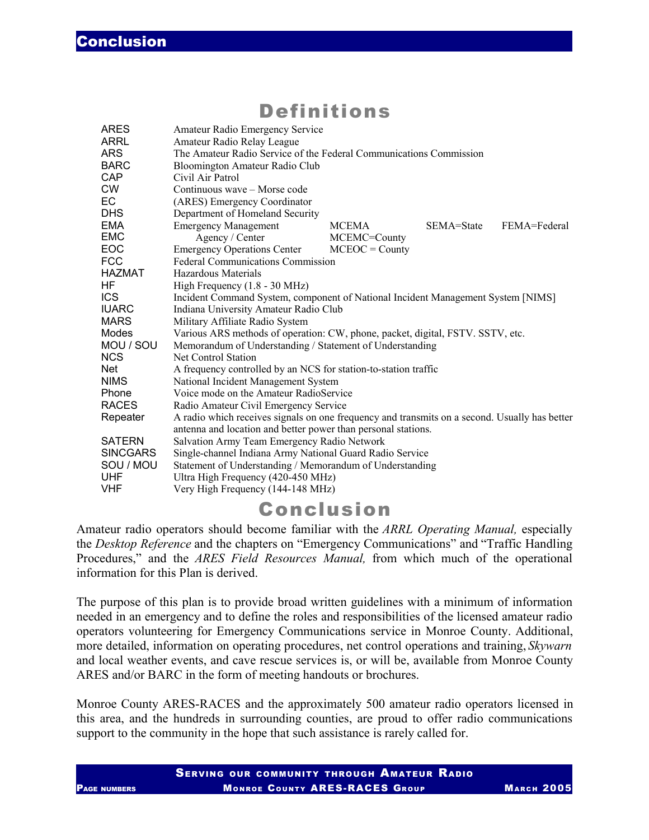### Definitions

| <b>ARES</b>     | Amateur Radio Emergency Service                                                               |                  |            |              |  |
|-----------------|-----------------------------------------------------------------------------------------------|------------------|------------|--------------|--|
| ARRL            | Amateur Radio Relay League                                                                    |                  |            |              |  |
| <b>ARS</b>      | The Amateur Radio Service of the Federal Communications Commission                            |                  |            |              |  |
| <b>BARC</b>     | Bloomington Amateur Radio Club                                                                |                  |            |              |  |
| CAP             | Civil Air Patrol                                                                              |                  |            |              |  |
| <b>CW</b>       | Continuous wave – Morse code                                                                  |                  |            |              |  |
| EC              | (ARES) Emergency Coordinator                                                                  |                  |            |              |  |
| <b>DHS</b>      | Department of Homeland Security                                                               |                  |            |              |  |
| <b>EMA</b>      | <b>Emergency Management</b>                                                                   | <b>MCEMA</b>     | SEMA=State | FEMA=Federal |  |
| <b>EMC</b>      | Agency / Center                                                                               | MCEMC=County     |            |              |  |
| EOC             | <b>Emergency Operations Center</b>                                                            | $MCEOC = Countv$ |            |              |  |
| <b>FCC</b>      | <b>Federal Communications Commission</b>                                                      |                  |            |              |  |
| <b>HAZMAT</b>   | Hazardous Materials                                                                           |                  |            |              |  |
| HF              | High Frequency $(1.8 - 30 \text{ MHz})$                                                       |                  |            |              |  |
| <b>ICS</b>      | Incident Command System, component of National Incident Management System [NIMS]              |                  |            |              |  |
| <b>IUARC</b>    | Indiana University Amateur Radio Club                                                         |                  |            |              |  |
| <b>MARS</b>     | Military Affiliate Radio System                                                               |                  |            |              |  |
| Modes           | Various ARS methods of operation: CW, phone, packet, digital, FSTV. SSTV, etc.                |                  |            |              |  |
| MOU / SOU       | Memorandum of Understanding / Statement of Understanding                                      |                  |            |              |  |
| <b>NCS</b>      | <b>Net Control Station</b>                                                                    |                  |            |              |  |
| <b>Net</b>      | A frequency controlled by an NCS for station-to-station traffic                               |                  |            |              |  |
| <b>NIMS</b>     | National Incident Management System                                                           |                  |            |              |  |
| Phone           | Voice mode on the Amateur RadioService                                                        |                  |            |              |  |
| <b>RACES</b>    | Radio Amateur Civil Emergency Service                                                         |                  |            |              |  |
| Repeater        | A radio which receives signals on one frequency and transmits on a second. Usually has better |                  |            |              |  |
|                 | antenna and location and better power than personal stations.                                 |                  |            |              |  |
| <b>SATERN</b>   | Salvation Army Team Emergency Radio Network                                                   |                  |            |              |  |
| <b>SINCGARS</b> | Single-channel Indiana Army National Guard Radio Service                                      |                  |            |              |  |
| SOU / MOU       | Statement of Understanding / Memorandum of Understanding                                      |                  |            |              |  |
| <b>UHF</b>      | Ultra High Frequency (420-450 MHz)                                                            |                  |            |              |  |
| <b>VHF</b>      | Very High Frequency (144-148 MHz)                                                             |                  |            |              |  |

### Conclusion

Amateur radio operators should become familiar with the *ARRL Operating Manual,* especially the *Desktop Reference* and the chapters on "Emergency Communications" and "Traffic Handling Procedures," and the *ARES Field Resources Manual,* from which much of the operational information for this Plan is derived.

The purpose of this plan is to provide broad written guidelines with a minimum of information needed in an emergency and to define the roles and responsibilities of the licensed amateur radio operators volunteering for Emergency Communications service in Monroe County. Additional, more detailed, information on operating procedures, net control operations and training, *Skywarn* and local weather events, and cave rescue services is, or will be, available from Monroe County ARES and/or BARC in the form of meeting handouts or brochures.

Monroe County ARES-RACES and the approximately 500 amateur radio operators licensed in this area, and the hundreds in surrounding counties, are proud to offer radio communications support to the community in the hope that such assistance is rarely called for.